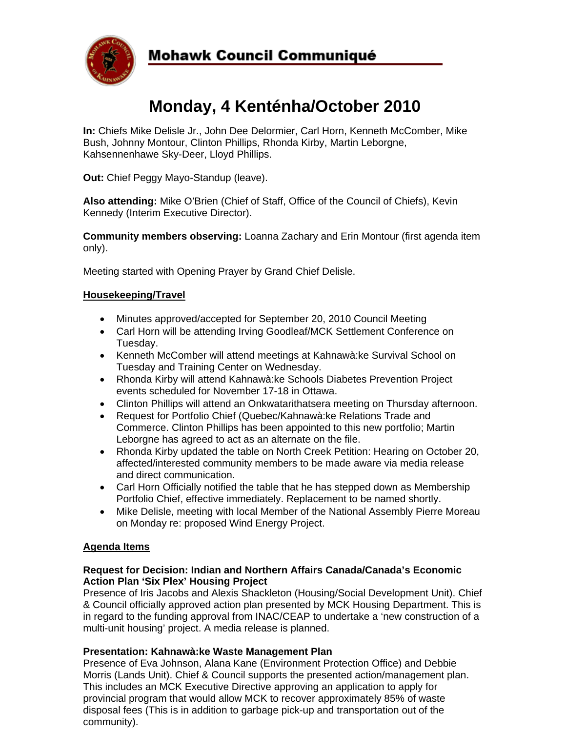

# **Mohawk Council Communiqué**

# **Monday, 4 Kenténha/October 2010**

**In:** Chiefs Mike Delisle Jr., John Dee Delormier, Carl Horn, Kenneth McComber, Mike Bush, Johnny Montour, Clinton Phillips, Rhonda Kirby, Martin Leborgne, Kahsennenhawe Sky-Deer, Lloyd Phillips.

**Out:** Chief Peggy Mayo-Standup (leave).

**Also attending:** Mike O'Brien (Chief of Staff, Office of the Council of Chiefs), Kevin Kennedy (Interim Executive Director).

**Community members observing:** Loanna Zachary and Erin Montour (first agenda item only).

Meeting started with Opening Prayer by Grand Chief Delisle.

## **Housekeeping/Travel**

- Minutes approved/accepted for September 20, 2010 Council Meeting
- Carl Horn will be attending Irving Goodleaf/MCK Settlement Conference on Tuesday.
- Kenneth McComber will attend meetings at Kahnawà:ke Survival School on Tuesday and Training Center on Wednesday.
- Rhonda Kirby will attend Kahnawà:ke Schools Diabetes Prevention Project events scheduled for November 17-18 in Ottawa.
- Clinton Phillips will attend an Onkwatarithatsera meeting on Thursday afternoon.
- Request for Portfolio Chief (Quebec/Kahnawà:ke Relations Trade and Commerce. Clinton Phillips has been appointed to this new portfolio; Martin Leborgne has agreed to act as an alternate on the file.
- Rhonda Kirby updated the table on North Creek Petition: Hearing on October 20, affected/interested community members to be made aware via media release and direct communication.
- Carl Horn Officially notified the table that he has stepped down as Membership Portfolio Chief, effective immediately. Replacement to be named shortly.
- Mike Delisle, meeting with local Member of the National Assembly Pierre Moreau on Monday re: proposed Wind Energy Project.

# **Agenda Items**

### **Request for Decision: Indian and Northern Affairs Canada/Canada's Economic Action Plan 'Six Plex' Housing Project**

Presence of Iris Jacobs and Alexis Shackleton (Housing/Social Development Unit). Chief & Council officially approved action plan presented by MCK Housing Department. This is in regard to the funding approval from INAC/CEAP to undertake a 'new construction of a multi-unit housing' project. A media release is planned.

# **Presentation: Kahnawà:ke Waste Management Plan**

Presence of Eva Johnson, Alana Kane (Environment Protection Office) and Debbie Morris (Lands Unit). Chief & Council supports the presented action/management plan. This includes an MCK Executive Directive approving an application to apply for provincial program that would allow MCK to recover approximately 85% of waste disposal fees (This is in addition to garbage pick-up and transportation out of the community).